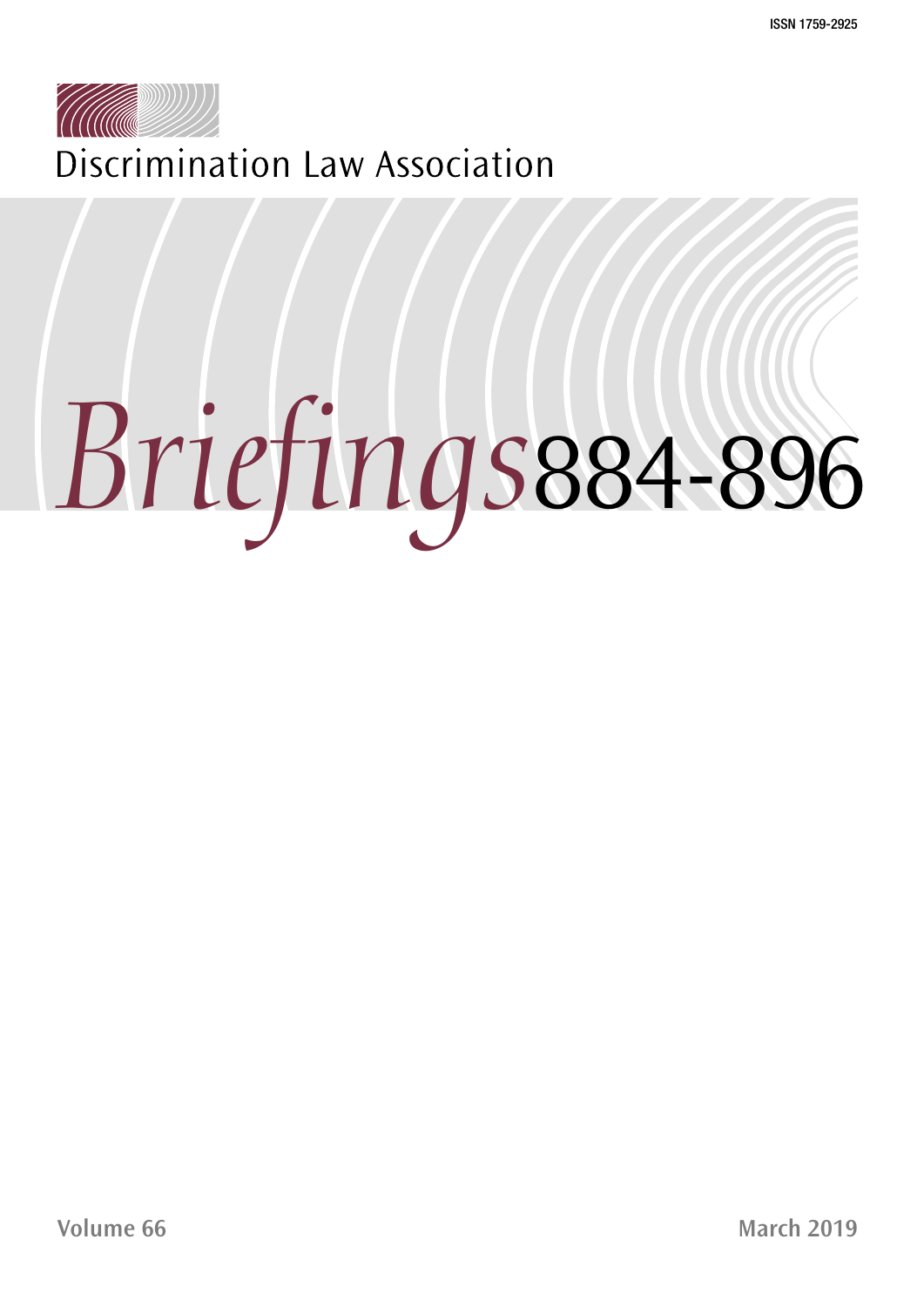

Discrimination Law Association

# *Briefings*884-896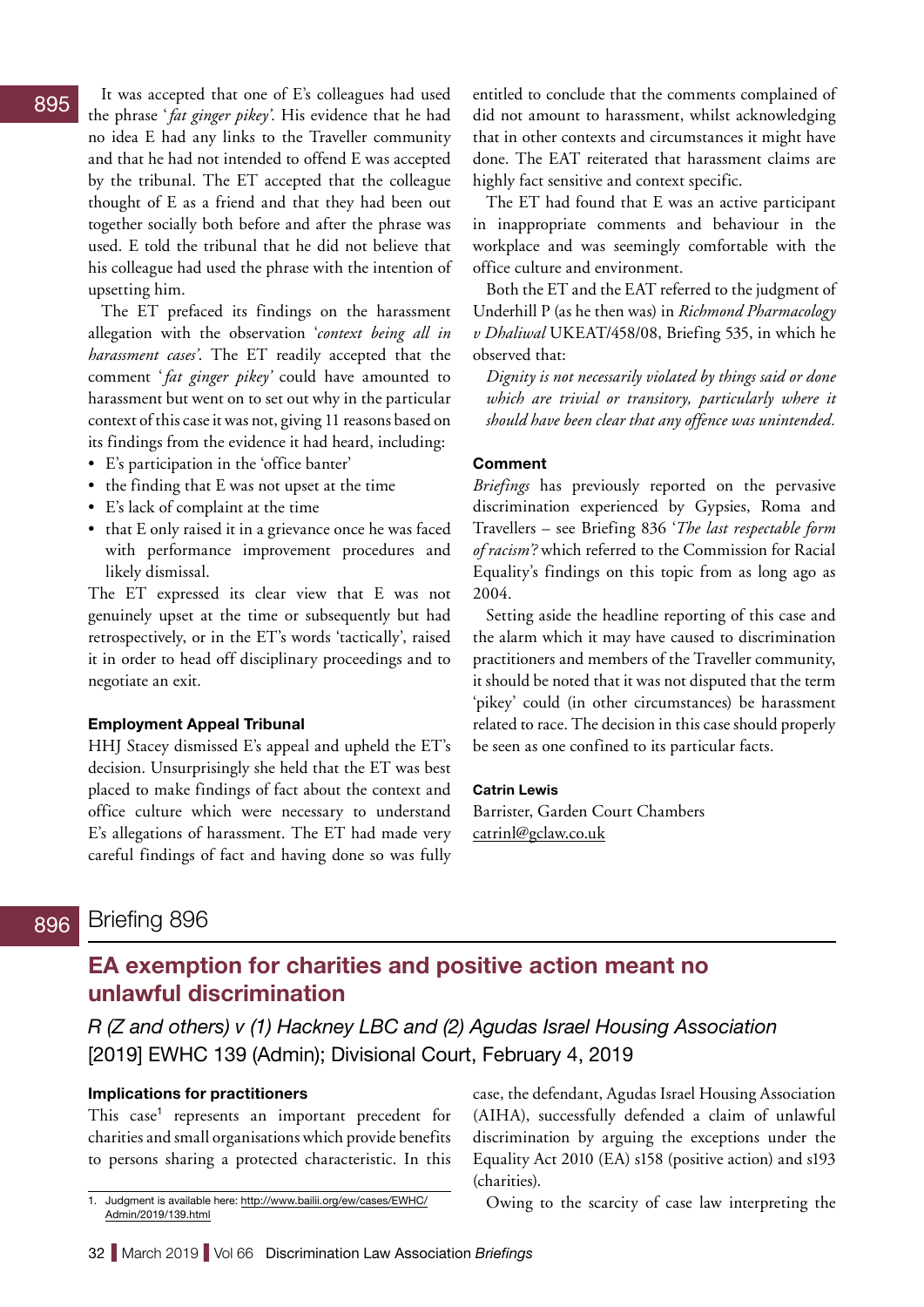### Briefing 896 838 896

# **EA exemption for charities and positive action meant no unlawful discrimination**

*R (Z and others) v (1) Hackney LBC and (2) Agudas Israel Housing Association*  [2019] EWHC 139 (Admin); Divisional Court, February 4, 2019

## **Implications for practitioners**

This case<sup>1</sup> represents an important precedent for charities and small organisations which provide benefits to persons sharing a protected characteristic. In this

1. Judgment is available here: [http://www.bailii.org/ew/cases/EWHC/](http://www.bailii.org/ew/cases/EWHC/Admin/2019/139.html) [Admin/2019/139.html](http://www.bailii.org/ew/cases/EWHC/Admin/2019/139.html)

case, the defendant, Agudas Israel Housing Association (AIHA), successfully defended a claim of unlawful discrimination by arguing the exceptions under the Equality Act 2010 (EA) s158 (positive action) and s193 (charities).

Owing to the scarcity of case law interpreting the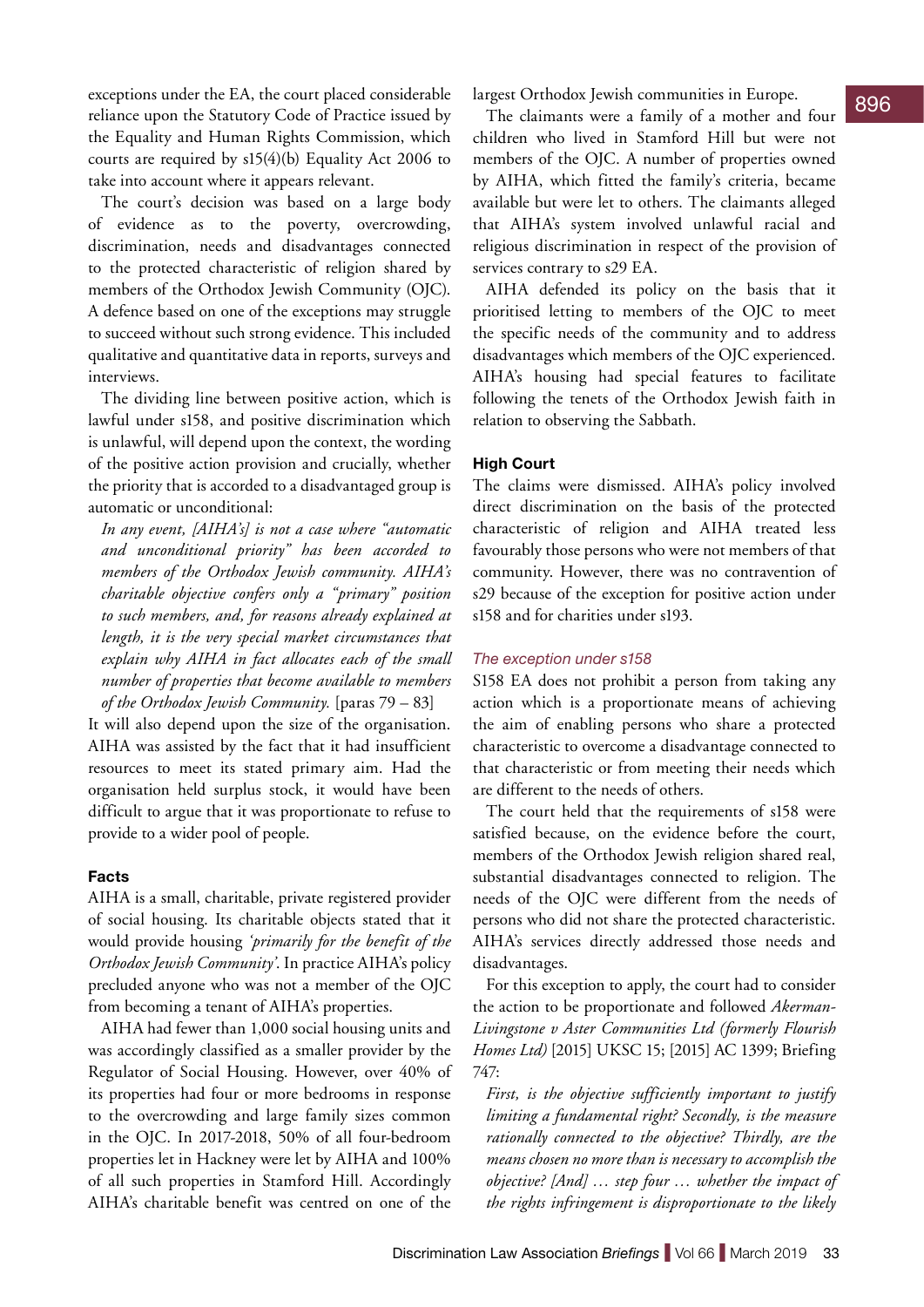exceptions under the EA, the court placed considerable largest Orthodox Jewish communities in Europe. reliance upon the Statutory Code of Practice issued by the Equality and Human Rights Commission, which courts are required by s15(4)(b) Equality Act 2006 to take into account where it appears relevant.

The court's decision was based on a large body of evidence as to the poverty, overcrowding, discrimination, needs and disadvantages connected to the protected characteristic of religion shared by members of the Orthodox Jewish Community (OJC). A defence based on one of the exceptions may struggle to succeed without such strong evidence. This included qualitative and quantitative data in reports, surveys and interviews.

The dividing line between positive action, which is lawful under s158, and positive discrimination which is unlawful, will depend upon the context, the wording of the positive action provision and crucially, whether the priority that is accorded to a disadvantaged group is automatic or unconditional:

*In any event, [AIHA's] is not a case where "automatic and unconditional priority" has been accorded to members of the Orthodox Jewish community. AIHA's charitable objective confers only a "primary" position to such members, and, for reasons already explained at length, it is the very special market circumstances that explain why AIHA in fact allocates each of the small number of properties that become available to members of the Orthodox Jewish Community.* [paras 79 – 83]

It will also depend upon the size of the organisation. AIHA was assisted by the fact that it had insufficient resources to meet its stated primary aim. Had the organisation held surplus stock, it would have been difficult to argue that it was proportionate to refuse to provide to a wider pool of people.

### **Facts**

AIHA is a small, charitable, private registered provider of social housing. Its charitable objects stated that it would provide housing *'primarily for the benefit of the Orthodox Jewish Community'*. In practice AIHA's policy precluded anyone who was not a member of the OJC from becoming a tenant of AIHA's properties.

AIHA had fewer than 1,000 social housing units and was accordingly classified as a smaller provider by the Regulator of Social Housing. However, over 40% of its properties had four or more bedrooms in response to the overcrowding and large family sizes common in the OJC. In 2017-2018, 50% of all four-bedroom properties let in Hackney were let by AIHA and 100% of all such properties in Stamford Hill. Accordingly AIHA's charitable benefit was centred on one of the

largest Orthodox Jewish communities in Europe.

The claimants were a family of a mother and four children who lived in Stamford Hill but were not members of the OJC. A number of properties owned by AIHA, which fitted the family's criteria, became available but were let to others. The claimants alleged that AIHA's system involved unlawful racial and religious discrimination in respect of the provision of services contrary to s29 EA.

AIHA defended its policy on the basis that it prioritised letting to members of the OJC to meet the specific needs of the community and to address disadvantages which members of the OJC experienced. AIHA's housing had special features to facilitate following the tenets of the Orthodox Jewish faith in relation to observing the Sabbath.

### **High Court**

The claims were dismissed. AIHA's policy involved direct discrimination on the basis of the protected characteristic of religion and AIHA treated less favourably those persons who were not members of that community. However, there was no contravention of s29 because of the exception for positive action under s158 and for charities under s193.

### *The exception under s158*

S158 EA does not prohibit a person from taking any action which is a proportionate means of achieving the aim of enabling persons who share a protected characteristic to overcome a disadvantage connected to that characteristic or from meeting their needs which are different to the needs of others.

The court held that the requirements of s158 were satisfied because, on the evidence before the court, members of the Orthodox Jewish religion shared real, substantial disadvantages connected to religion. The needs of the OJC were different from the needs of persons who did not share the protected characteristic. AIHA's services directly addressed those needs and disadvantages.

For this exception to apply, the court had to consider the action to be proportionate and followed *Akerman-Livingstone v Aster Communities Ltd (formerly Flourish Homes Ltd)* [2015] UKSC 15; [2015] AC 1399; Briefing 747:

*First, is the objective sufficiently important to justify limiting a fundamental right? Secondly, is the measure rationally connected to the objective? Thirdly, are the means chosen no more than is necessary to accomplish the objective? [And] … step four … whether the impact of the rights infringement is disproportionate to the likely*